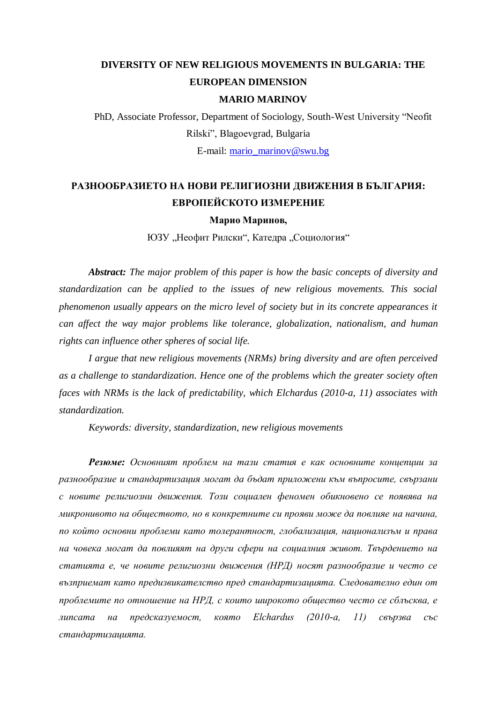# **DIVERSITY OF NEW RELIGIOUS MOVEMENTS IN BULGARIA: THE EUROPEAN DIMENSION MARIO MARINOV**

PhD, Associate Professor, Department of Sociology, South-West University "Neofit Rilski", Blagoevgrad, Bulgaria

E-mail: [mario\\_marinov@swu.bg](mailto:mario_marinov@swu.bg)

## **РАЗНООБРАЗИЕТО НА НОВИ РЕЛИГИОЗНИ ДВИЖЕНИЯ В БЪЛГАРИЯ: ЕВРОПЕЙСКОТО ИЗМЕРЕНИЕ**

#### **Марио Маринов,**

ЮЗУ "Неофит Рилски", Катедра "Социология"

*Abstract: The major problem of this paper is how the basic concepts of diversity and standardization can be applied to the issues of new religious movements. This social phenomenon usually appears on the micro level of society but in its concrete appearances it can affect the way major problems like tolerance, globalization, nationalism, and human rights can influence other spheres of social life.*

*I argue that new religious movements (NRMs) bring diversity and are often perceived as a challenge to standardization. Hence one of the problems which the greater society often faces with NRMs is the lack of predictability, which Elchardus (2010-a, 11) associates with standardization.*

*Keywords: diversity, standardization, new religious movements*

*Резюме: Основният проблем на тази статия е как основните концепции за разнообразие и стандартизация могат да бъдат приложени към въпросите, свързани с новите религиозни движения. Този социален феномен обикновено се появява на микронивото на обществото, но в конкретните си прояви може да повлияе на начина, по който основни проблеми като толерантност, глобализация, национализъм и права на човека могат да повлияят на други сфери на социалния живот. Твърдението на статията е, че новите религиозни движения (НРД) носят разнообразие и често се възприемат като предизвикателство пред стандартизацията. Следователно един от проблемите по отношение на НРД, с които широкото общество често се сблъсква, е липсата на предсказуемост, която Elchardus (2010-a, 11) свързва със стандартизацията.*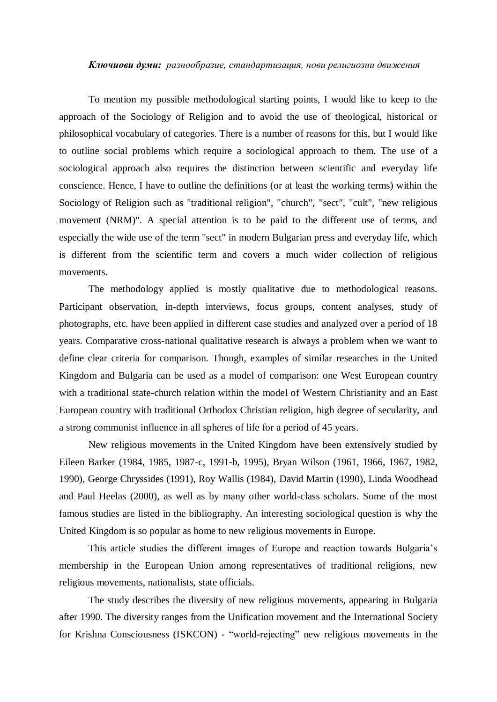#### *Ключиови думи: разнообразие, стандартизация, нови религиозни движения*

To mention my possible methodological starting points, I would like to keep to the approach of the Sociology of Religion and to avoid the use of theological, historical or philosophical vocabulary of categories. There is a number of reasons for this, but I would like to outline social problems which require a sociological approach to them. The use of a sociological approach also requires the distinction between scientific and everyday life conscience. Hence, I have to outline the definitions (or at least the working terms) within the Sociology of Religion such as "traditional religion", "church", "sect", "cult", "new religious movement (NRM)". A special attention is to be paid to the different use of terms, and especially the wide use of the term "sect" in modern Bulgarian press and everyday life, which is different from the scientific term and covers a much wider collection of religious movements.

The methodology applied is mostly qualitative due to methodological reasons. Participant observation, in-depth interviews, focus groups, content analyses, study of photographs, etc. have been applied in different case studies and analyzed over a period of 18 years. Comparative cross-national qualitative research is always a problem when we want to define clear criteria for comparison. Though, examples of similar researches in the United Kingdom and Bulgaria can be used as a model of comparison: one West European country with a traditional state-church relation within the model of Western Christianity and an East European country with traditional Orthodox Christian religion, high degree of secularity, and a strong communist influence in all spheres of life for a period of 45 years.

New religious movements in the United Kingdom have been extensively studied by Eileen Barker (1984, 1985, 1987-c, 1991-b, 1995), Bryan Wilson (1961, 1966, 1967, 1982, 1990), George Chryssides (1991), Roy Wallis (1984), David Martin (1990), Linda Woodhead and Paul Heelas (2000), as well as by many other world-class scholars. Some of the most famous studies are listed in the bibliography. An interesting sociological question is why the United Kingdom is so popular as home to new religious movements in Europe.

This article studies the different images of Europe and reaction towards Bulgaria's membership in the European Union among representatives of traditional religions, new religious movements, nationalists, state officials.

The study describes the diversity of new religious movements, appearing in Bulgaria after 1990. The diversity ranges from the Unification movement and the International Society for Krishna Consciousness (ISKCON) - "world-rejecting" new religious movements in the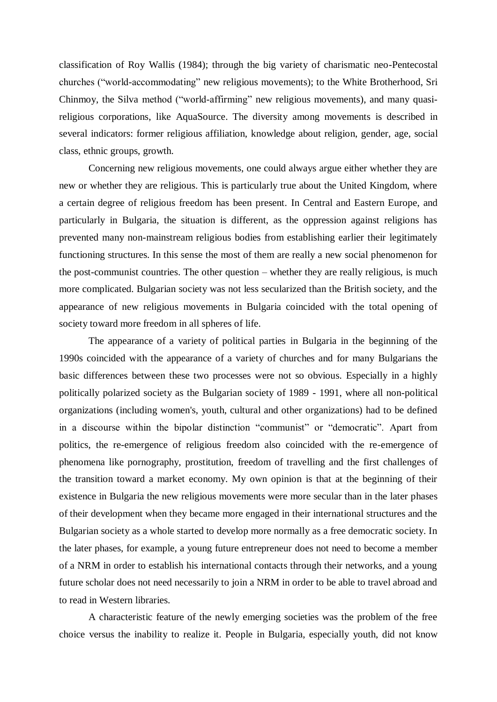classification of Roy Wallis (1984); through the big variety of charismatic neo-Pentecostal churches ("world-accommodating" new religious movements); to the White Brotherhood, Sri Chinmoy, the Silva method ("world-affirming" new religious movements), and many quasireligious corporations, like AquaSource. The diversity among movements is described in several indicators: former religious affiliation, knowledge about religion, gender, age, social class, ethnic groups, growth.

Concerning new religious movements, one could always argue either whether they are new or whether they are religious. This is particularly true about the United Kingdom, where a certain degree of religious freedom has been present. In Central and Eastern Europe, and particularly in Bulgaria, the situation is different, as the oppression against religions has prevented many non-mainstream religious bodies from establishing earlier their legitimately functioning structures. In this sense the most of them are really a new social phenomenon for the post-communist countries. The other question – whether they are really religious, is much more complicated. Bulgarian society was not less secularized than the British society, and the appearance of new religious movements in Bulgaria coincided with the total opening of society toward more freedom in all spheres of life.

The appearance of a variety of political parties in Bulgaria in the beginning of the 1990s coincided with the appearance of a variety of churches and for many Bulgarians the basic differences between these two processes were not so obvious. Especially in a highly politically polarized society as the Bulgarian society of 1989 - 1991, where all non-political organizations (including women's, youth, cultural and other organizations) had to be defined in a discourse within the bipolar distinction "communist" or "democratic". Apart from politics, the re-emergence of religious freedom also coincided with the re-emergence of phenomena like pornography, prostitution, freedom of travelling and the first challenges of the transition toward a market economy. My own opinion is that at the beginning of their existence in Bulgaria the new religious movements were more secular than in the later phases of their development when they became more engaged in their international structures and the Bulgarian society as a whole started to develop more normally as a free democratic society. In the later phases, for example, a young future entrepreneur does not need to become a member of a NRM in order to establish his international contacts through their networks, and a young future scholar does not need necessarily to join a NRM in order to be able to travel abroad and to read in Western libraries.

A characteristic feature of the newly emerging societies was the problem of the free choice versus the inability to realize it. People in Bulgaria, especially youth, did not know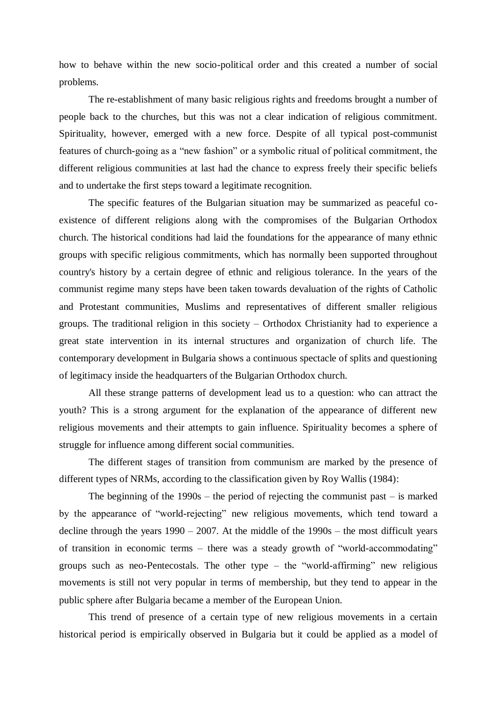how to behave within the new socio-political order and this created a number of social problems.

The re-establishment of many basic religious rights and freedoms brought a number of people back to the churches, but this was not a clear indication of religious commitment. Spirituality, however, emerged with a new force. Despite of all typical post-communist features of church-going as a "new fashion" or a symbolic ritual of political commitment, the different religious communities at last had the chance to express freely their specific beliefs and to undertake the first steps toward a legitimate recognition.

The specific features of the Bulgarian situation may be summarized as peaceful coexistence of different religions along with the compromises of the Bulgarian Orthodox church. The historical conditions had laid the foundations for the appearance of many ethnic groups with specific religious commitments, which has normally been supported throughout country's history by a certain degree of ethnic and religious tolerance. In the years of the communist regime many steps have been taken towards devaluation of the rights of Catholic and Protestant communities, Muslims and representatives of different smaller religious groups. The traditional religion in this society – Orthodox Christianity had to experience a great state intervention in its internal structures and organization of church life. The contemporary development in Bulgaria shows a continuous spectacle of splits and questioning of legitimacy inside the headquarters of the Bulgarian Orthodox church.

All these strange patterns of development lead us to a question: who can attract the youth? This is a strong argument for the explanation of the appearance of different new religious movements and their attempts to gain influence. Spirituality becomes a sphere of struggle for influence among different social communities.

The different stages of transition from communism are marked by the presence of different types of NRMs, according to the classification given by Roy Wallis (1984):

The beginning of the  $1990s$  – the period of rejecting the communist past – is marked by the appearance of "world-rejecting" new religious movements, which tend toward a decline through the years 1990 – 2007. At the middle of the 1990s – the most difficult years of transition in economic terms – there was a steady growth of "world-accommodating" groups such as neo-Pentecostals. The other type  $-$  the "world-affirming" new religious movements is still not very popular in terms of membership, but they tend to appear in the public sphere after Bulgaria became a member of the European Union.

This trend of presence of a certain type of new religious movements in a certain historical period is empirically observed in Bulgaria but it could be applied as a model of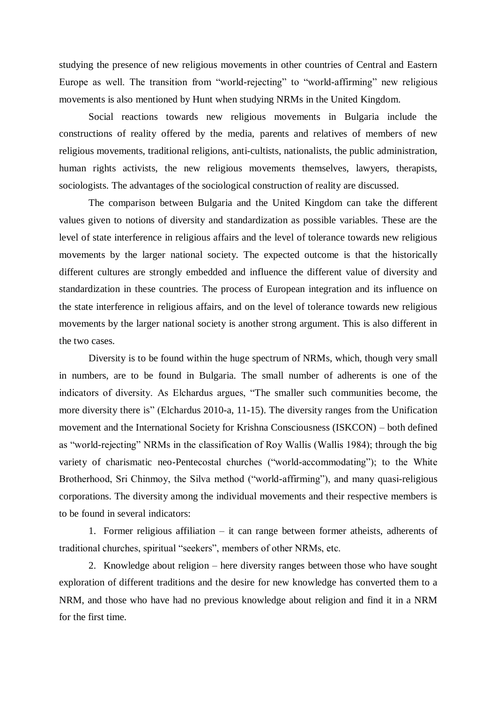studying the presence of new religious movements in other countries of Central and Eastern Europe as well. The transition from "world-rejecting" to "world-affirming" new religious movements is also mentioned by Hunt when studying NRMs in the United Kingdom.

Social reactions towards new religious movements in Bulgaria include the constructions of reality offered by the media, parents and relatives of members of new religious movements, traditional religions, anti-cultists, nationalists, the public administration, human rights activists, the new religious movements themselves, lawyers, therapists, sociologists. The advantages of the sociological construction of reality are discussed.

The comparison between Bulgaria and the United Kingdom can take the different values given to notions of diversity and standardization as possible variables. These are the level of state interference in religious affairs and the level of tolerance towards new religious movements by the larger national society. The expected outcome is that the historically different cultures are strongly embedded and influence the different value of diversity and standardization in these countries. The process of European integration and its influence on the state interference in religious affairs, and on the level of tolerance towards new religious movements by the larger national society is another strong argument. This is also different in the two cases.

Diversity is to be found within the huge spectrum of NRMs, which, though very small in numbers, are to be found in Bulgaria. The small number of adherents is one of the indicators of diversity. As Elchardus argues, "The smaller such communities become, the more diversity there is" (Elchardus 2010-a, 11-15). The diversity ranges from the Unification movement and the International Society for Krishna Consciousness (ISKCON) – both defined as "world-rejecting" NRMs in the classification of Roy Wallis (Wallis 1984); through the big variety of charismatic neo-Pentecostal churches ("world-accommodating"); to the White Brotherhood, Sri Chinmoy, the Silva method ("world-affirming"), and many quasi-religious corporations. The diversity among the individual movements and their respective members is to be found in several indicators:

1. Former religious affiliation – it can range between former atheists, adherents of traditional churches, spiritual "seekers", members of other NRMs, etc.

2. Knowledge about religion – here diversity ranges between those who have sought exploration of different traditions and the desire for new knowledge has converted them to a NRM, and those who have had no previous knowledge about religion and find it in a NRM for the first time.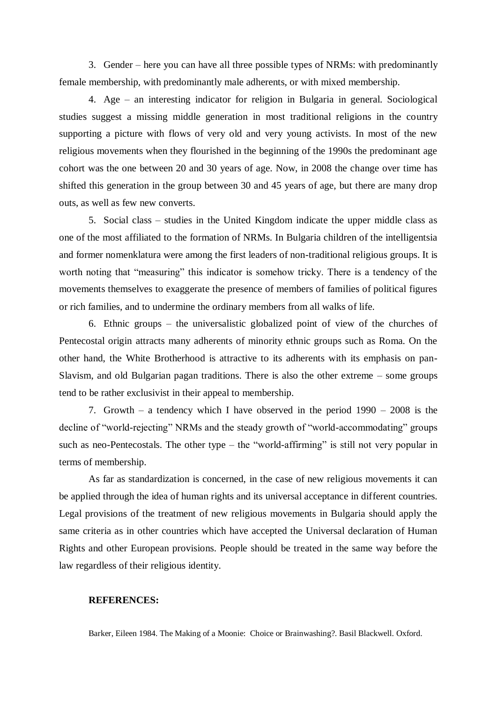3. Gender – here you can have all three possible types of NRMs: with predominantly female membership, with predominantly male adherents, or with mixed membership.

4. Age – an interesting indicator for religion in Bulgaria in general. Sociological studies suggest a missing middle generation in most traditional religions in the country supporting a picture with flows of very old and very young activists. In most of the new religious movements when they flourished in the beginning of the 1990s the predominant age cohort was the one between 20 and 30 years of age. Now, in 2008 the change over time has shifted this generation in the group between 30 and 45 years of age, but there are many drop outs, as well as few new converts.

5. Social class – studies in the United Kingdom indicate the upper middle class as one of the most affiliated to the formation of NRMs. In Bulgaria children of the intelligentsia and former nomenklatura were among the first leaders of non-traditional religious groups. It is worth noting that "measuring" this indicator is somehow tricky. There is a tendency of the movements themselves to exaggerate the presence of members of families of political figures or rich families, and to undermine the ordinary members from all walks of life.

6. Ethnic groups – the universalistic globalized point of view of the churches of Pentecostal origin attracts many adherents of minority ethnic groups such as Roma. On the other hand, the White Brotherhood is attractive to its adherents with its emphasis on pan-Slavism, and old Bulgarian pagan traditions. There is also the other extreme – some groups tend to be rather exclusivist in their appeal to membership.

7. Growth – a tendency which I have observed in the period 1990 – 2008 is the decline of "world-rejecting" NRMs and the steady growth of "world-accommodating" groups such as neo-Pentecostals. The other type – the "world-affirming" is still not very popular in terms of membership.

As far as standardization is concerned, in the case of new religious movements it can be applied through the idea of human rights and its universal acceptance in different countries. Legal provisions of the treatment of new religious movements in Bulgaria should apply the same criteria as in other countries which have accepted the Universal declaration of Human Rights and other European provisions. People should be treated in the same way before the law regardless of their religious identity.

### **REFERENCES:**

Barker, Eileen 1984. The Making of a Moonie: Choice or Brainwashing?. Basil Blackwell. Oxford.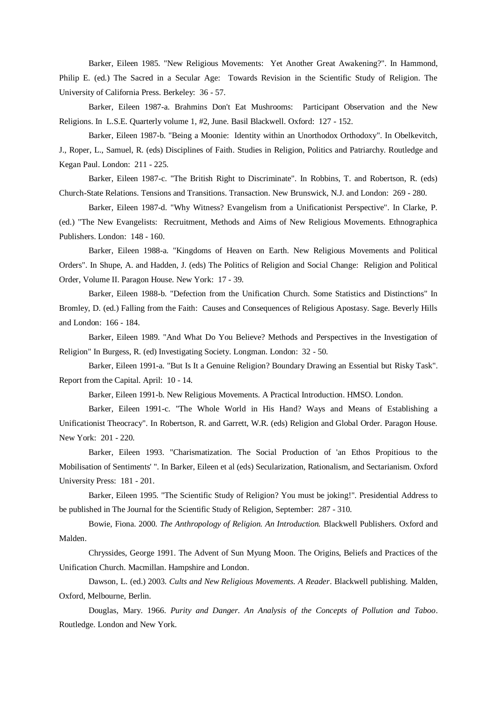Barker, Eileen 1985. "New Religious Movements: Yet Another Great Awakening?". In Hammond, Philip E. (ed.) The Sacred in a Secular Age: Towards Revision in the Scientific Study of Religion. The University of California Press. Berkeley: 36 - 57.

Barker, Eileen 1987-a. Brahmins Don't Eat Mushrooms: Participant Observation and the New Religions. In L.S.E. Quarterly volume 1, #2, June. Basil Blackwell. Oxford: 127 - 152.

Barker, Eileen 1987-b. "Being a Moonie: Identity within an Unorthodox Orthodoxy". In Obelkevitch, J., Roper, L., Samuel, R. (eds) Disciplines of Faith. Studies in Religion, Politics and Patriarchy. Routledge and Kegan Paul. London: 211 - 225.

Barker, Eileen 1987-c. "The British Right to Discriminate". In Robbins, T. and Robertson, R. (eds) Church-State Relations. Tensions and Transitions. Transaction. New Brunswick, N.J. and London: 269 - 280.

Barker, Eileen 1987-d. "Why Witness? Evangelism from a Unificationist Perspective". In Clarke, P. (ed.) "The New Evangelists: Recruitment, Methods and Aims of New Religious Movements. Ethnographica Publishers. London: 148 - 160.

Barker, Eileen 1988-a. "Kingdoms of Heaven on Earth. New Religious Movements and Political Orders". In Shupe, A. and Hadden, J. (eds) The Politics of Religion and Social Change: Religion and Political Order, Volume II. Paragon House. New York: 17 - 39.

Barker, Eileen 1988-b. "Defection from the Unification Church. Some Statistics and Distinctions" In Bromley, D. (ed.) Falling from the Faith: Causes and Consequences of Religious Apostasy. Sage. Beverly Hills and London: 166 - 184.

Barker, Eileen 1989. "And What Do You Believe? Methods and Perspectives in the Investigation of Religion" In Burgess, R. (ed) Investigating Society. Longman. London: 32 - 50.

Barker, Eileen 1991-a. "But Is It a Genuine Religion? Boundary Drawing an Essential but Risky Task". Report from the Capital. April: 10 - 14.

Barker, Eileen 1991-b. New Religious Movements. A Practical Introduction. HMSO. London.

Barker, Eileen 1991-c. "The Whole World in His Hand? Ways and Means of Establishing a Unificationist Theocracy". In Robertson, R. and Garrett, W.R. (eds) Religion and Global Order. Paragon House. New York: 201 - 220.

Barker, Eileen 1993. "Charismatization. The Social Production of 'an Ethos Propitious to the Mobilisation of Sentiments' ". In Barker, Eileen et al (eds) Secularization, Rationalism, and Sectarianism. Oxford University Press: 181 - 201.

Barker, Eileen 1995. "The Scientific Study of Religion? You must be joking!". Presidential Address to be published in The Journal for the Scientific Study of Religion, September: 287 - 310.

Bowie, Fiona. 2000. *The Anthropology of Religion. An Introduction.* Blackwell Publishers. Oxford and Malden.

Chryssides, George 1991. The Advent of Sun Myung Moon. The Origins, Beliefs and Practices of the Unification Church. Macmillan. Hampshire and London.

Dawson, L. (ed.) 2003. *Cults and New Religious Movements. A Reader*. Blackwell publishing. Malden, Oxford, Melbourne, Berlin.

Douglas, Mary. 1966. *Purity and Danger. An Analysis of the Concepts of Pollution and Taboo*. Routledge. London and New York.